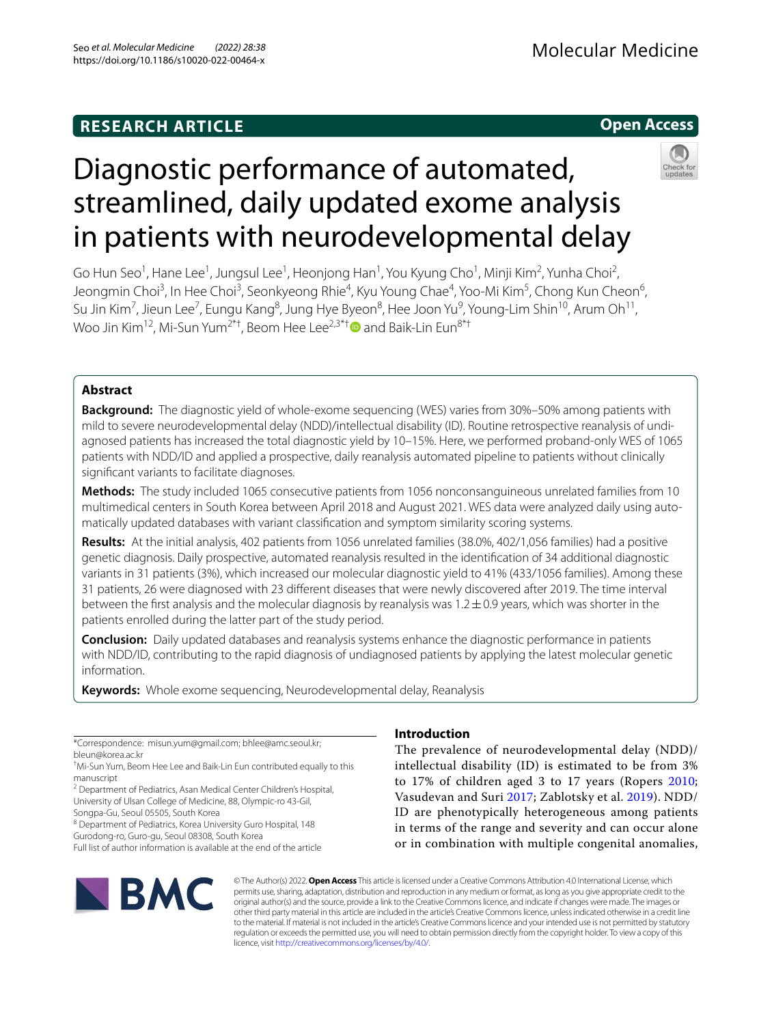# **RESEARCH ARTICLE**

# **Open Access**



# Diagnostic performance of automated, streamlined, daily updated exome analysis in patients with neurodevelopmental delay

Go Hun Seo<sup>1</sup>, Hane Lee<sup>1</sup>, Jungsul Lee<sup>1</sup>, Heonjong Han<sup>1</sup>, You Kyung Cho<sup>1</sup>, Minji Kim<sup>2</sup>, Yunha Choi<sup>2</sup>, Jeongmin Choi<sup>3</sup>, In Hee Choi<sup>3</sup>, Seonkyeong Rhie<sup>4</sup>, Kyu Young Chae<sup>4</sup>, Yoo-Mi Kim<sup>5</sup>, Chong Kun Cheon<sup>6</sup>, Su Jin Kim<sup>7</sup>, Jieun Lee<sup>7</sup>, Eungu Kang<sup>8</sup>, Jung Hye Byeon<sup>8</sup>, Hee Joon Yu<sup>9</sup>, Young-Lim Shin<sup>10</sup>, Arum Oh<sup>11</sup>, Woo Jin Kim<sup>12</sup>, Mi-Sun Yum<sup>2\*[†](http://orcid.org/0000-0001-9709-2631)</sup>, Beom Hee Lee<sup>2,3\*†</sup> $\bullet$  and Baik-Lin Eun<sup>8\*†</sup>

# **Abstract**

**Background:** The diagnostic yield of whole-exome sequencing (WES) varies from 30%–50% among patients with mild to severe neurodevelopmental delay (NDD)/intellectual disability (ID). Routine retrospective reanalysis of undi‑ agnosed patients has increased the total diagnostic yield by 10–15%. Here, we performed proband-only WES of 1065 patients with NDD/ID and applied a prospective, daily reanalysis automated pipeline to patients without clinically signifcant variants to facilitate diagnoses.

**Methods:** The study included 1065 consecutive patients from 1056 nonconsanguineous unrelated families from 10 multimedical centers in South Korea between April 2018 and August 2021. WES data were analyzed daily using automatically updated databases with variant classifcation and symptom similarity scoring systems.

**Results:** At the initial analysis, 402 patients from 1056 unrelated families (38.0%, 402/1,056 families) had a positive genetic diagnosis. Daily prospective, automated reanalysis resulted in the identifcation of 34 additional diagnostic variants in 31 patients (3%), which increased our molecular diagnostic yield to 41% (433/1056 families). Among these 31 patients, 26 were diagnosed with 23 diferent diseases that were newly discovered after 2019. The time interval between the first analysis and the molecular diagnosis by reanalysis was  $1.2\pm0.9$  years, which was shorter in the patients enrolled during the latter part of the study period.

**Conclusion:** Daily updated databases and reanalysis systems enhance the diagnostic performance in patients with NDD/ID, contributing to the rapid diagnosis of undiagnosed patients by applying the latest molecular genetic information.

**Keywords:** Whole exome sequencing, Neurodevelopmental delay, Reanalysis

\*Correspondence: misun.yum@gmail.com; bhlee@amc.seoul.kr; bleun@korea.ac.kr

<sup>2</sup> Department of Pediatrics, Asan Medical Center Children's Hospital, University of Ulsan College of Medicine, 88, Olympic‑ro 43‑Gil,

Songpa‑Gu, Seoul 05505, South Korea

<sup>8</sup> Department of Pediatrics, Korea University Guro Hospital, 148

Gurodong‑ro, Guro‑gu, Seoul 08308, South Korea Full list of author information is available at the end of the article

# **IBMC**

# **Introduction**

The prevalence of neurodevelopmental delay (NDD)/ intellectual disability (ID) is estimated to be from 3% to 17% of children aged 3 to 17 years (Ropers [2010](#page-14-0); Vasudevan and Suri [2017;](#page-14-1) Zablotsky et al. [2019](#page-14-2)). NDD/ ID are phenotypically heterogeneous among patients in terms of the range and severity and can occur alone or in combination with multiple congenital anomalies,

© The Author(s) 2022. **Open Access** This article is licensed under a Creative Commons Attribution 4.0 International License, which permits use, sharing, adaptation, distribution and reproduction in any medium or format, as long as you give appropriate credit to the original author(s) and the source, provide a link to the Creative Commons licence, and indicate if changes were made. The images or other third party material in this article are included in the article's Creative Commons licence, unless indicated otherwise in a credit line to the material. If material is not included in the article's Creative Commons licence and your intended use is not permitted by statutory regulation or exceeds the permitted use, you will need to obtain permission directly from the copyright holder. To view a copy of this licence, visit [http://creativecommons.org/licenses/by/4.0/.](http://creativecommons.org/licenses/by/4.0/)

<sup>†</sup> Mi-Sun Yum, Beom Hee Lee and Baik-Lin Eun contributed equally to this manuscript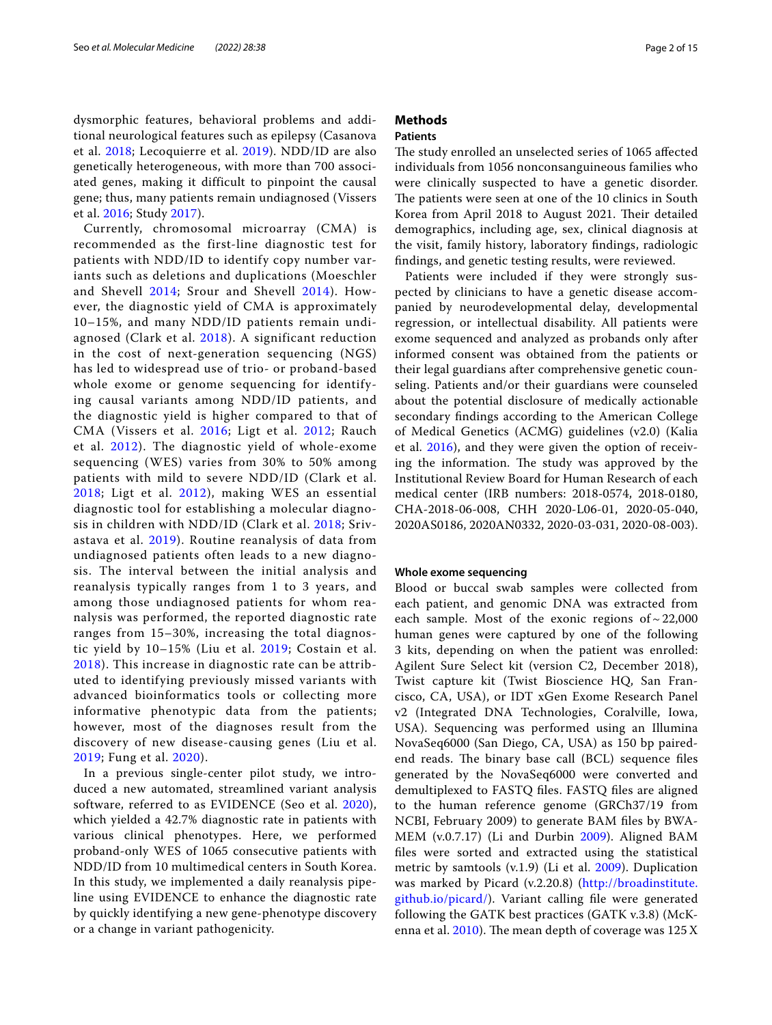dysmorphic features, behavioral problems and additional neurological features such as epilepsy (Casanova et al. [2018;](#page-13-0) Lecoquierre et al. [2019\)](#page-13-1). NDD/ID are also genetically heterogeneous, with more than 700 associated genes, making it difficult to pinpoint the causal gene; thus, many patients remain undiagnosed (Vissers et al. [2016](#page-14-3); Study [2017](#page-14-4)).

Currently, chromosomal microarray (CMA) is recommended as the first-line diagnostic test for patients with NDD/ID to identify copy number variants such as deletions and duplications (Moeschler and Shevell [2014;](#page-14-5) Srour and Shevell [2014\)](#page-14-6). However, the diagnostic yield of CMA is approximately 10–15%, and many NDD/ID patients remain undiagnosed (Clark et al. [2018\)](#page-13-2). A significant reduction in the cost of next-generation sequencing (NGS) has led to widespread use of trio- or proband-based whole exome or genome sequencing for identifying causal variants among NDD/ID patients, and the diagnostic yield is higher compared to that of CMA (Vissers et al. [2016](#page-14-3); Ligt et al. [2012;](#page-13-3) Rauch et al. [2012\)](#page-14-7). The diagnostic yield of whole-exome sequencing (WES) varies from 30% to 50% among patients with mild to severe NDD/ID (Clark et al. [2018](#page-13-2); Ligt et al. [2012\)](#page-13-3), making WES an essential diagnostic tool for establishing a molecular diagnosis in children with NDD/ID (Clark et al. [2018;](#page-13-2) Srivastava et al. [2019](#page-14-8)). Routine reanalysis of data from undiagnosed patients often leads to a new diagnosis. The interval between the initial analysis and reanalysis typically ranges from 1 to 3 years, and among those undiagnosed patients for whom reanalysis was performed, the reported diagnostic rate ranges from 15–30%, increasing the total diagnostic yield by 10–15% (Liu et al. [2019;](#page-14-9) Costain et al. [2018](#page-13-4)). This increase in diagnostic rate can be attributed to identifying previously missed variants with advanced bioinformatics tools or collecting more informative phenotypic data from the patients; however, most of the diagnoses result from the discovery of new disease-causing genes (Liu et al. [2019](#page-14-9); Fung et al. [2020\)](#page-13-5).

In a previous single-center pilot study, we introduced a new automated, streamlined variant analysis software, referred to as EVIDENCE (Seo et al. [2020\)](#page-14-10), which yielded a 42.7% diagnostic rate in patients with various clinical phenotypes. Here, we performed proband-only WES of 1065 consecutive patients with NDD/ID from 10 multimedical centers in South Korea. In this study, we implemented a daily reanalysis pipeline using EVIDENCE to enhance the diagnostic rate by quickly identifying a new gene-phenotype discovery or a change in variant pathogenicity.

# **Methods**

# **Patients**

The study enrolled an unselected series of 1065 affected individuals from 1056 nonconsanguineous families who were clinically suspected to have a genetic disorder. The patients were seen at one of the 10 clinics in South Korea from April 2018 to August 2021. Their detailed demographics, including age, sex, clinical diagnosis at the visit, family history, laboratory fndings, radiologic fndings, and genetic testing results, were reviewed.

Patients were included if they were strongly suspected by clinicians to have a genetic disease accompanied by neurodevelopmental delay, developmental regression, or intellectual disability. All patients were exome sequenced and analyzed as probands only after informed consent was obtained from the patients or their legal guardians after comprehensive genetic counseling. Patients and/or their guardians were counseled about the potential disclosure of medically actionable secondary fndings according to the American College of Medical Genetics (ACMG) guidelines (v2.0) (Kalia et al. [2016\)](#page-13-6), and they were given the option of receiving the information. The study was approved by the Institutional Review Board for Human Research of each medical center (IRB numbers: 2018‐0574, 2018‐0180, CHA-2018-06-008, CHH 2020-L06-01, 2020-05-040, 2020AS0186, 2020AN0332, 2020-03-031, 2020-08-003).

# **Whole exome sequencing**

Blood or buccal swab samples were collected from each patient, and genomic DNA was extracted from each sample. Most of the exonic regions of  $\sim$  22,000 human genes were captured by one of the following 3 kits, depending on when the patient was enrolled: Agilent Sure Select kit (version C2, December 2018), Twist capture kit (Twist Bioscience HQ, San Francisco, CA, USA), or IDT xGen Exome Research Panel v2 (Integrated DNA Technologies, Coralville, Iowa, USA). Sequencing was performed using an Illumina NovaSeq6000 (San Diego, CA, USA) as 150 bp pairedend reads. The binary base call (BCL) sequence files generated by the NovaSeq6000 were converted and demultiplexed to FASTQ fles. FASTQ fles are aligned to the human reference genome (GRCh37/19 from NCBI, February 2009) to generate BAM fles by BWA-MEM (v.0.7.17) (Li and Durbin [2009](#page-13-7)). Aligned BAM fles were sorted and extracted using the statistical metric by samtools (v.1.9) (Li et al. [2009\)](#page-14-11). Duplication was marked by Picard (v.2.20.8) [\(http://broadinstitute.](http://broadinstitute.github.io/picard/) [github.io/picard/](http://broadinstitute.github.io/picard/)). Variant calling fle were generated following the GATK best practices (GATK v.3.8) (McKenna et al.  $2010$ ). The mean depth of coverage was  $125X$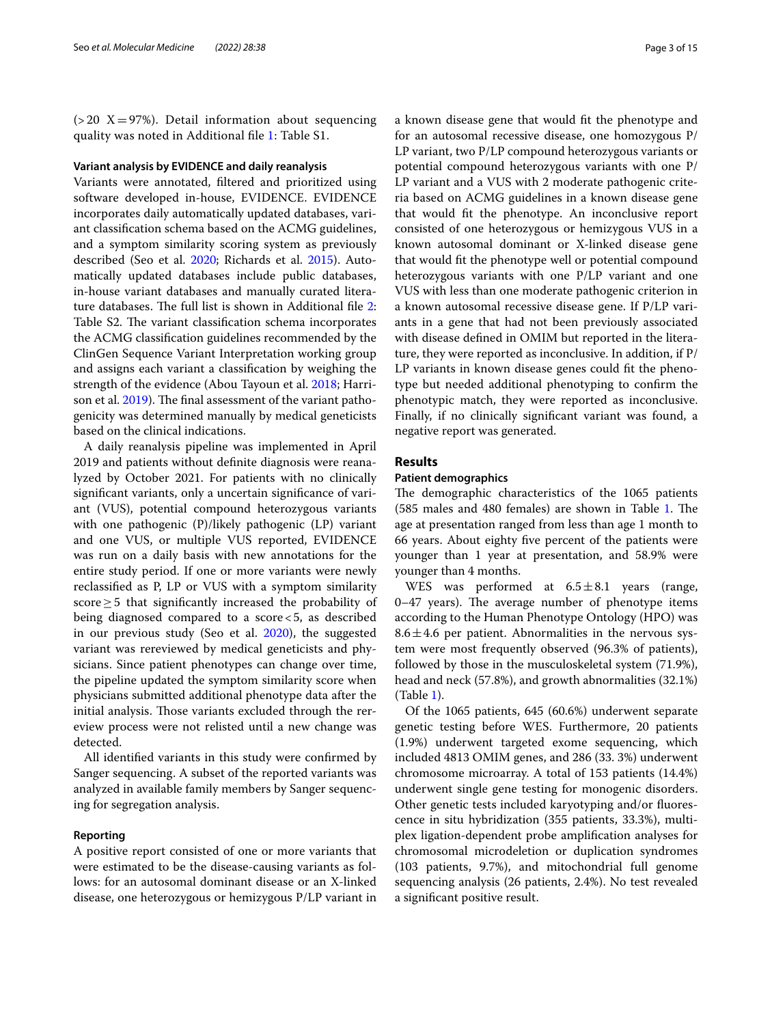( $>$  20 X = 97%). Detail information about sequencing quality was noted in Additional fle [1:](#page-12-0) Table S1.

# **Variant analysis by EVIDENCE and daily reanalysis**

Variants were annotated, fltered and prioritized using software developed in-house, EVIDENCE. EVIDENCE incorporates daily automatically updated databases, variant classifcation schema based on the ACMG guidelines, and a symptom similarity scoring system as previously described (Seo et al. [2020;](#page-14-10) Richards et al. [2015](#page-14-13)). Automatically updated databases include public databases, in-house variant databases and manually curated litera-ture databases. The full list is shown in Additional file [2](#page-12-1): Table S2. The variant classification schema incorporates the ACMG classifcation guidelines recommended by the ClinGen Sequence Variant Interpretation working group and assigns each variant a classifcation by weighing the strength of the evidence (Abou Tayoun et al. [2018](#page-13-8); Harri-son et al. [2019](#page-13-9)). The final assessment of the variant pathogenicity was determined manually by medical geneticists based on the clinical indications.

A daily reanalysis pipeline was implemented in April 2019 and patients without defnite diagnosis were reanalyzed by October 2021. For patients with no clinically signifcant variants, only a uncertain signifcance of variant (VUS), potential compound heterozygous variants with one pathogenic (P)/likely pathogenic (LP) variant and one VUS, or multiple VUS reported, EVIDENCE was run on a daily basis with new annotations for the entire study period. If one or more variants were newly reclassifed as P, LP or VUS with a symptom similarity score≥5 that signifcantly increased the probability of being diagnosed compared to a score<5, as described in our previous study (Seo et al. [2020](#page-14-10)), the suggested variant was rereviewed by medical geneticists and physicians. Since patient phenotypes can change over time, the pipeline updated the symptom similarity score when physicians submitted additional phenotype data after the initial analysis. Those variants excluded through the rereview process were not relisted until a new change was detected.

All identifed variants in this study were confrmed by Sanger sequencing. A subset of the reported variants was analyzed in available family members by Sanger sequencing for segregation analysis.

# **Reporting**

A positive report consisted of one or more variants that were estimated to be the disease-causing variants as follows: for an autosomal dominant disease or an X-linked disease, one heterozygous or hemizygous P/LP variant in a known disease gene that would ft the phenotype and for an autosomal recessive disease, one homozygous P/ LP variant, two P/LP compound heterozygous variants or potential compound heterozygous variants with one P/ LP variant and a VUS with 2 moderate pathogenic criteria based on ACMG guidelines in a known disease gene that would ft the phenotype. An inconclusive report consisted of one heterozygous or hemizygous VUS in a known autosomal dominant or X-linked disease gene that would ft the phenotype well or potential compound heterozygous variants with one P/LP variant and one VUS with less than one moderate pathogenic criterion in a known autosomal recessive disease gene. If P/LP variants in a gene that had not been previously associated with disease defned in OMIM but reported in the literature, they were reported as inconclusive. In addition, if P/ LP variants in known disease genes could ft the phenotype but needed additional phenotyping to confrm the phenotypic match, they were reported as inconclusive. Finally, if no clinically signifcant variant was found, a negative report was generated.

# **Results**

# **Patient demographics**

The demographic characteristics of the 1065 patients (585 males and 480 females) are shown in Table [1](#page-3-0). The age at presentation ranged from less than age 1 month to 66 years. About eighty fve percent of the patients were younger than 1 year at presentation, and 58.9% were younger than 4 months.

WES was performed at  $6.5 \pm 8.1$  years (range,  $0-47$  years). The average number of phenotype items according to the Human Phenotype Ontology (HPO) was  $8.6 \pm 4.6$  per patient. Abnormalities in the nervous system were most frequently observed (96.3% of patients), followed by those in the musculoskeletal system (71.9%), head and neck (57.8%), and growth abnormalities (32.1%) (Table [1\)](#page-3-0).

Of the 1065 patients, 645 (60.6%) underwent separate genetic testing before WES. Furthermore, 20 patients (1.9%) underwent targeted exome sequencing, which included 4813 OMIM genes, and 286 (33. 3%) underwent chromosome microarray. A total of 153 patients (14.4%) underwent single gene testing for monogenic disorders. Other genetic tests included karyotyping and/or fuorescence in situ hybridization (355 patients, 33.3%), multiplex ligation-dependent probe amplifcation analyses for chromosomal microdeletion or duplication syndromes (103 patients, 9.7%), and mitochondrial full genome sequencing analysis (26 patients, 2.4%). No test revealed a signifcant positive result.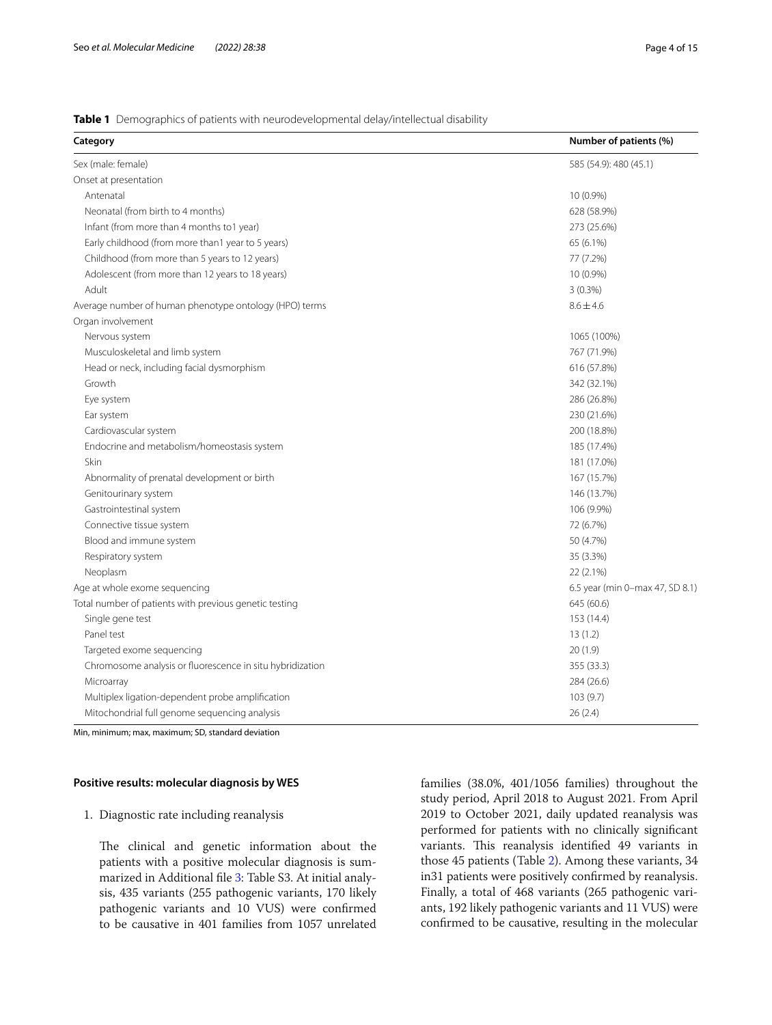# <span id="page-3-0"></span>**Table 1** Demographics of patients with neurodevelopmental delay/intellectual disability

| Category                                                  | Number of patients (%)          |
|-----------------------------------------------------------|---------------------------------|
| Sex (male: female)                                        | 585 (54.9): 480 (45.1)          |
| Onset at presentation                                     |                                 |
| Antenatal                                                 | 10 (0.9%)                       |
| Neonatal (from birth to 4 months)                         | 628 (58.9%)                     |
| Infant (from more than 4 months to1 year)                 | 273 (25.6%)                     |
| Early childhood (from more than1 year to 5 years)         | 65 (6.1%)                       |
| Childhood (from more than 5 years to 12 years)            | 77 (7.2%)                       |
| Adolescent (from more than 12 years to 18 years)          | 10 (0.9%)                       |
| Adult                                                     | $3(0.3\%)$                      |
| Average number of human phenotype ontology (HPO) terms    | $8.6 \pm 4.6$                   |
| Organ involvement                                         |                                 |
| Nervous system                                            | 1065 (100%)                     |
| Musculoskeletal and limb system                           | 767 (71.9%)                     |
| Head or neck, including facial dysmorphism                | 616 (57.8%)                     |
| Growth                                                    | 342 (32.1%)                     |
| Eye system                                                | 286 (26.8%)                     |
| Ear system                                                | 230 (21.6%)                     |
| Cardiovascular system                                     | 200 (18.8%)                     |
| Endocrine and metabolism/homeostasis system               | 185 (17.4%)                     |
| Skin                                                      | 181 (17.0%)                     |
| Abnormality of prenatal development or birth              | 167 (15.7%)                     |
| Genitourinary system                                      | 146 (13.7%)                     |
| Gastrointestinal system                                   | 106 (9.9%)                      |
| Connective tissue system                                  | 72 (6.7%)                       |
| Blood and immune system                                   | 50 (4.7%)                       |
| Respiratory system                                        | 35 (3.3%)                       |
| Neoplasm                                                  | 22 (2.1%)                       |
| Age at whole exome sequencing                             | 6.5 year (min 0-max 47, SD 8.1) |
| Total number of patients with previous genetic testing    | 645 (60.6)                      |
| Single gene test                                          | 153 (14.4)                      |
| Panel test                                                | 13(1.2)                         |
| Targeted exome sequencing                                 | 20(1.9)                         |
| Chromosome analysis or fluorescence in situ hybridization | 355 (33.3)                      |
| Microarray                                                | 284 (26.6)                      |
| Multiplex ligation-dependent probe amplification          | 103 (9.7)                       |
| Mitochondrial full genome sequencing analysis             | 26(2.4)                         |

Min, minimum; max, maximum; SD, standard deviation

# **Positive results: molecular diagnosis by WES**

# 1. Diagnostic rate including reanalysis

The clinical and genetic information about the patients with a positive molecular diagnosis is summarized in Additional fle [3](#page-12-2): Table S3. At initial analysis, 435 variants (255 pathogenic variants, 170 likely pathogenic variants and 10 VUS) were confrmed to be causative in 401 families from 1057 unrelated

families (38.0%, 401/1056 families) throughout the study period, April 2018 to August 2021. From April 2019 to October 2021, daily updated reanalysis was performed for patients with no clinically signifcant variants. This reanalysis identified 49 variants in those 45 patients (Table [2\)](#page-4-0). Among these variants, 34 in31 patients were positively confrmed by reanalysis. Finally, a total of 468 variants (265 pathogenic variants, 192 likely pathogenic variants and 11 VUS) were confrmed to be causative, resulting in the molecular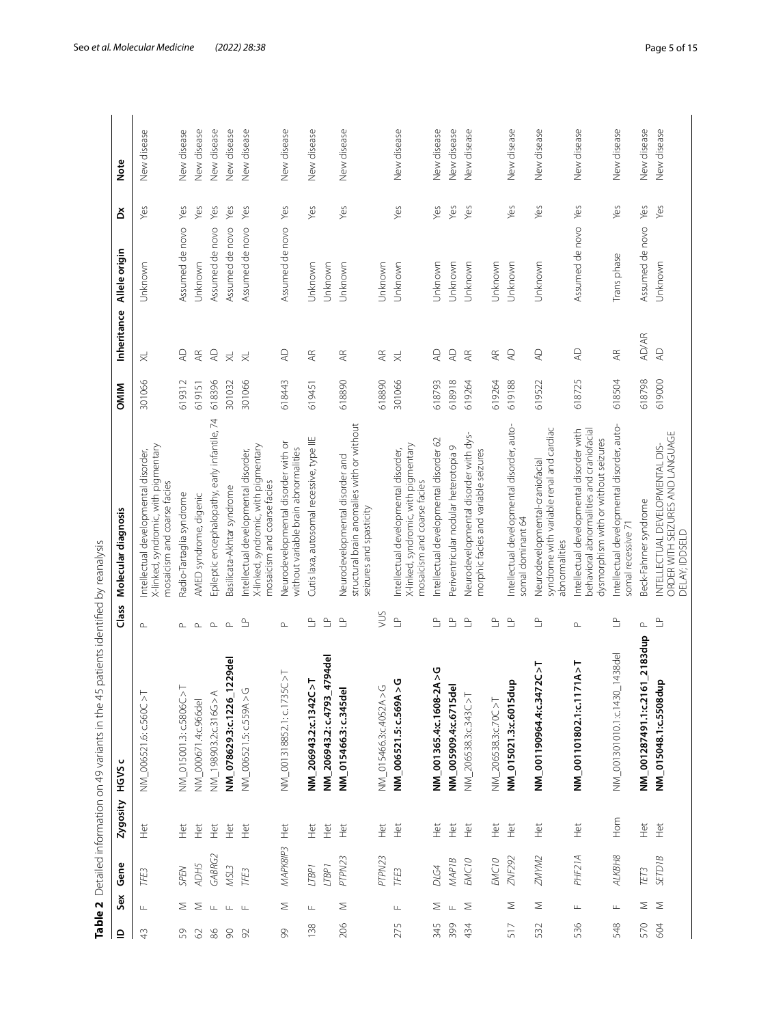|               |                                        |          |                                      | Table 2 Detailed information on 49 variants in the 45 patients identified by reanalysis |                                          |                                                                                                                              |             |                         |                 |     |             |
|---------------|----------------------------------------|----------|--------------------------------------|-----------------------------------------------------------------------------------------|------------------------------------------|------------------------------------------------------------------------------------------------------------------------------|-------------|-------------------------|-----------------|-----|-------------|
| $\mathbf{r}$  | Gene<br>Sex                            |          | Zygosity                             | HGVS                                                                                    | Class                                    | Molecular diagnosis                                                                                                          | <b>OMIM</b> | Inheritance             | Allele origin   | ă   | <b>Note</b> |
| $\frac{1}{4}$ | TFE <sub>3</sub><br>Щ                  |          | $\Xi$                                | TC > T<br>NM_006521.6: c.560                                                            | $\mathrel{\triangle}\,$                  | X-linked, syndromic, with pigmentary<br>Intellectual developmental disorder,<br>mosaicism and coarse facies                  | 301066      | $\overline{\times}$     | Unknown         | Yes | New disease |
| 59            | SPEN<br>Σ                              |          | Ĕ                                    | NM_015001.3: c.5806C >T                                                                 | ௨                                        | Radio-Tartaglia syndrome                                                                                                     | 619312      | $\overline{4}$          | Assumed de novo | Yes | New disease |
| $\odot$       | ADH5<br>Σ                              |          | Het                                  | NM_000671.4:c.966del                                                                    | $\mathrel{\triangle}_\mathrel{\!\!\!=}$  | AMED syndrome, digenic                                                                                                       | 619151      | Æ                       | Unknown         | Yes | New disease |
| 86            | GABRG2<br>$\sqcup$                     |          | Ĕ                                    | NM_198903.2:c316G>A                                                                     | $\mathop{\hbox{$\Delta$}}$               | Epileptic encephalopathy, early infantile, 74                                                                                | 618396      | $\mathsf{A}\mathsf{D}$  | Assumed de novo | Yes | New disease |
| $\infty$      | MSL3<br>$\perp$                        |          | 革                                    | NM_078629.3:c.1226_1229del                                                              | $\Delta$                                 | Basilicata-Akhtar syndrome                                                                                                   | 301032      | $\overline{\times}$     | Assumed de novo | Yes | New disease |
| 92            | TFE3<br>$\perp$                        |          | Ě                                    | NM_006521.5: c.559A>G                                                                   | $\mathop{\underline{\circ}}$             | X-linked, syndromic, with pigmentary<br>Intellectual developmental disorder,<br>mosaicism and coarse facies                  | 301066      | $\overline{\times}$     | Assumed de novo | Yes | New disease |
| 99            | Σ                                      | MAPK8IP3 | E                                    | NM_001318852.1: c.1735C > T                                                             | $\!\Delta$                               | Neurodevelopmental disorder with or<br>without variable brain abnormalities                                                  | 618443      | $\mathbb{Q}$            | Assumed de novo | Yes | New disease |
| 138           | [TBP <sub>1</sub><br>Щ                 |          | Het                                  | NM_206943.2:c.1342C>T                                                                   | $\triangleq$                             | Cutis laxa, autosomal recessive, type IIE                                                                                    | 619451      | Æ                       | Unknown         | Yes | New disease |
|               | LTBP <sub>1</sub>                      |          | Ë                                    | NM_206943.2: c.4793_4794del                                                             | $\mathop{\underline{\scriptstyle\circ}}$ |                                                                                                                              |             |                         | Unknown         |     |             |
| 206           | PTPN23<br>Σ                            |          | Ë                                    | NM_015466.3: c.345del                                                                   | $\mathop{\underline{\scriptstyle\circ}}$ | structural brain anomalies with or without<br>Neurodevelopmental disorder and<br>seizures and spasticity                     | 618890      | Æ                       | Unknown         | Yes | New disease |
|               | PTPN23                                 |          | Ξ                                    | NM_015466.3:c.4052A>G                                                                   | SUN                                      |                                                                                                                              | 618890      | Æ                       | Unknown         |     |             |
| 275           | TFE3<br>Щ                              |          | Het                                  | NM_006521.5: c.569A>G                                                                   | $\triangleq$                             | k-linked, syndromic, with pigmentary<br>ntellectual developmental disorder,<br>mosaicism and coarse facies                   | 301066      | $\overline{\times}$     | Unknown         | Yes | New disease |
| 345           | <b>DIG4</b><br>Σ                       |          | Ë                                    | $608 - 2A > G$<br>NM_001365.4:c.16                                                      | $\triangleq$                             | ntellectual developmental disorder 62                                                                                        | 618793      | $\overline{A}$          | Unknown         | Yes | New disease |
| 399           | <b>MAP1B</b><br>$\mathsf{L}\mathsf{L}$ |          | $\frac{\overleftrightarrow{v}}{\pm}$ | NM_005909.4:c.6715del                                                                   | $\mathrel{\underline{\circ}}$            | Periventricular nodular heterotopia 9                                                                                        | 618918      | $\overline{A}$          | Unknown         | yes | New disease |
| 434           | EMC <sub>10</sub><br>Σ                 |          | Het                                  | NM_206538.3:c.343C>T                                                                    | $\mathop{\underline{\scriptstyle\circ}}$ | Neurodevelopmental disorder with dys-<br>morphic facies and variable seizures                                                | 619264      | AR                      | Unknown         | Yes | New disease |
|               | EMC <sub>10</sub>                      |          | Het                                  | $\sum_{i=1}^{n}$<br>NM_206538.3:c.700                                                   | $\mathop{\underline{\scriptstyle\circ}}$ |                                                                                                                              | 619264      | $\overline{A}$ R        | Unknown         |     |             |
| 517           | ZNF292<br>Σ                            |          | Ĕ                                    | NM_015021.3:c.6015dup                                                                   | $\mathop{\underline{\scriptstyle\circ}}$ | Intellectual developmental disorder, auto-<br>somal dominant 64                                                              | 619188      | $\mathbb{A}^\mathsf{D}$ | Unknown         | Yes | New disease |
| 532           | ZMYM2<br>Σ                             |          | Het                                  | NM_001190964.4:c.3472C>T                                                                | $\mathop{\underline{\scriptstyle\circ}}$ | syndrome with variable renal and cardiac<br>Neurodevelopmental-craniofacial<br>abnormalities                                 | 619522      | $\mathbb{Q}$            | Unknown         | Yes | New disease |
| 536           | PHF21A<br>Щ                            |          | Het                                  | $NN_0$ 001101802.1:c.1171A>T                                                            | $\Delta$                                 | behavioral abnormalities and craniofacial<br>ntellectual developmental disorder with<br>dysmorphism with or without seizures | 618725      | $\mathbb{Q}$            | Assumed de novo | Yes | New disease |
| 548           | ALKBH8<br>$\sqcup$                     |          | Hom                                  | NM_001301010.1:c.1430_1438del                                                           | $\mathop{\underline{\scriptstyle\circ}}$ | Intellectual developmental disorder, auto-<br>somal recessive 71                                                             | 618504      | $\overline{A}$          | Trans phase     | Yes | New disease |
| 570           | TET <sub>3</sub><br>Σ                  |          | Het                                  | NM_001287491.1:c.2161_2183dup                                                           |                                          | Beck-Fahrner syndrome                                                                                                        | 618798      | <b>AD/AR</b>            | Assumed de novo | Yes | New disease |
| 604           | <b>SETD1B</b><br>$\geq$                |          | 堂                                    | NM_015048.1:c.5508dup                                                                   | $\mathop{\underline{\scriptstyle\circ}}$ | ORDER WITH SEIZURES AND LANGUAGE<br>INTELLECTUAL DEVELOPMENTAL DIS-<br>DELAY: IDDSELD                                        | 619000      | $\overline{4}$          | Unknown         | Yes | New disease |

<span id="page-4-0"></span>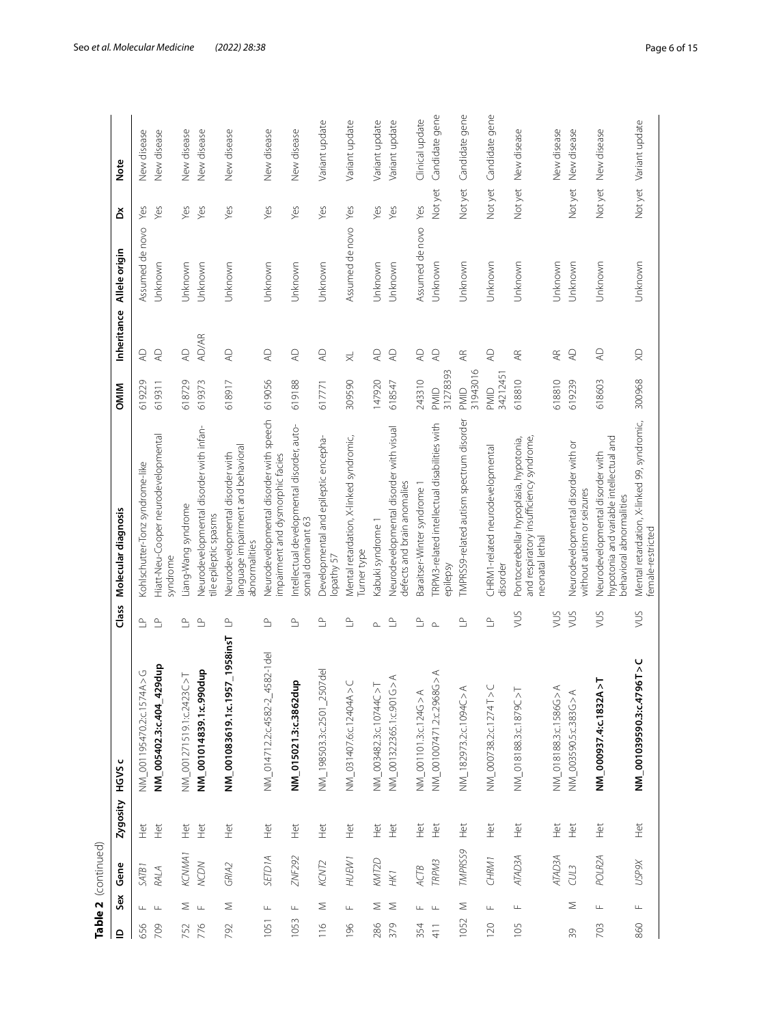|                          |               | Table 2 (continued) |               |                                                                                 |                                                                    |                                                                                                                                             |                  |                           |                 |         |                        |
|--------------------------|---------------|---------------------|---------------|---------------------------------------------------------------------------------|--------------------------------------------------------------------|---------------------------------------------------------------------------------------------------------------------------------------------|------------------|---------------------------|-----------------|---------|------------------------|
| $\mathbf{\underline{o}}$ | Sex           | Gene                | Zygosity      | HGVS <sub>C</sub>                                                               | Class                                                              | Molecular diagnosis                                                                                                                         | <b>OMIM</b>      | Inheritance               | Allele origin   | ă       | <b>Note</b>            |
| 656                      | Щ.            | SATB1               | Het           | NM_001195470.2:c.1574A > G                                                      | $\mathrel{\mathop{\scriptstyle\mathrel{\triangle}}\hspace{0.2em}}$ | Kohlschutter-Tonz syndrome-like                                                                                                             | 619229           | $\mathbb{Q}$              | Assumed de novo | Yes     | New disease            |
| 709                      | $\perp$       | RALA                | Het           | 429dup<br>NM_005402.3:c.404_                                                    | $\triangleq$                                                       | Hiatt-Neu-Cooper neurodevelopmental<br>syndrome                                                                                             | 619311           | $\overline{A}$            | Unknown         | Yes     | New disease            |
| 752                      | Σ             | KCNMA1              | Het           | NM_001271519.1:c2423C>T                                                         | $\mathop{\underline{\scriptstyle\circ}}$                           | -iang-Wang syndrome                                                                                                                         | 618729           | $\overline{4}$            | Jnknown         | Yes     | New disease            |
| 776                      | $\perp$       | <b>NCDN</b>         | Het           | NM_001014839.1:c.990dup                                                         | $\mathop{\underline{\mathop{\scriptstyle\circ}}}\nolimits$         | Neurodevelopmental disorder with infan-<br>tile epileptic spasms                                                                            | 619373           | <b>AD/AR</b>              | Unknown         | Yes     | New disease            |
| 792                      | Σ             | GRIA2               | Het           | NM_001083619.1:c.1957_1958insT                                                  | $\mathrel{\mathop{\rightharpoonup}}$                               | anguage impairment and behavioral<br>Neurodevelopmental disorder with<br>abnormalities                                                      | 618917           | $\overline{4}$            | Unknown         | Yes     | New disease            |
| 1051                     | $\frac{1}{2}$ | <b>SETDIA</b>       | Het           | 4582-1del<br>NM_014712.2:c.4582-2                                               | $\mathrel{\mathop{\scriptstyle\mathrel{\triangle}}\hspace{0.2em}}$ | Neurodevelopmental disorder with speech<br>mpairment and dysmorphic facies                                                                  | 619056           | $\mathsf{Q}$              | Unknown         | Yes     | New disease            |
| 1053                     | Щ             | ZNF292              | Het           | NM_015021.3:c.3862dup                                                           | $\mathrel{\mathop{\scriptstyle\mathrel{\triangle}}\hspace{0.2em}}$ | ntellectual developmental disorder, auto-<br>somal dominant 63                                                                              | 619188           | $\mathsf{Q}$              | Unknown         | Yes     | New disease            |
| $\frac{1}{6}$            | Σ             | KCNT2               | Ηű            | $2507$ de<br>NM_198503.3:c.2501                                                 | $\mathrel{\mathop{\scriptstyle\mathrel{\triangle}}\hspace{0.2em}}$ | Developmental and epileptic encepha-<br>opathy 57                                                                                           | 617771           | $\mathsf{Q}$              | Unknown         | Yes     | Variant update         |
| 196                      | $\frac{1}{2}$ | HUEW1               | $\frac{1}{2}$ | NM_031407.6:c.12404A>C                                                          | $\mathop{\underline{\scriptstyle\circ}}$                           | Mental retardation, X-linked syndromic,<br>urner type                                                                                       | 309590           | $\overline{\times}$       | Assumed de novo | Yes     | Variant update         |
| 286                      | Σ             | <b>KMT2D</b>        | Ηĕ            | NM_003482.3:c.10744C>T                                                          | $\sim$                                                             | <abuki 1<="" syndrome="" td=""><td>147920</td><td><math>\overline{4}</math></td><td>Unknown</td><td>Yes</td><td>Variant update</td></abuki> | 147920           | $\overline{4}$            | Unknown         | Yes     | Variant update         |
| 379                      | $\geq$        | HK1                 | $\frac{1}{2}$ | $\begin{array}{c}\n\prec \\ \sim \\ \circ\n\end{array}$<br>NM_001322365.1:c.901 | $\mathop{\underline{\scriptstyle\circ}}$                           | Neurodevelopmental disorder with visual<br>defects and brain anomalies                                                                      | 618547           | $\mathsf{Q}$              | Unknown         | Yes     | Variant update         |
| 354                      | Щ             | <b>ACTB</b>         | Ξ             | $\prec$<br>NM_001101.3:c.124G>                                                  | $\triangleq$                                                       | Baraitser-Winter syndrome                                                                                                                   | 243310           | $\overline{4}$            | Assumed de novo | Yes     | Clinical update        |
| 41                       | $\sqcup$      | TRPM3               | Ë             | A < 50<br>NM_001007471.2:c.296                                                  | $\sim$                                                             | RPM3-related intellectual disabilities with<br>epilepsy                                                                                     | 31278393<br>PMID | $\mathbb{Q}$              | Unknown         | Not yet | Candidate gene         |
| 1052                     | Σ             | TMPRSS9             | Het           | $\stackrel{\triangle}{\scriptstyle\wedge}$<br>NM_182973.2:c.1094C               | $\mathop{\underline{\scriptstyle\circ}}$                           | TMPRSS9-related autism spectrum disorder                                                                                                    | 31943016<br>PMID | $\overline{\mathbb{A}}$ R | Unknown         | Not yet | Candidate gene         |
| 120                      | Щ             | CHRM1               | Het           | $\frac{1}{2}$<br>NM_000738.2:c.1274T                                            | $\mathop{\underline{\scriptstyle\circ}}$                           | CHRM1-related neurodevelopmental<br>disorder                                                                                                | 34212451<br>PMID | $\mathbb{A}\mathbb{D}$    | Unknown         | Not yet | Candidate gene         |
| 105                      | $\sqcup$      | <b>ATAD3A</b>       | Het           | $\overline{\wedge}$<br>NM_018188.3:c.1879C                                      | SUN                                                                | and respiratory insufficiency syndrome,<br>Pontocerebellar hypoplasia, hypotonia,<br>neonatal lethal                                        | 618810           | Æ                         | Unknown         | Not yet | New disease            |
|                          |               | <b>ATAD3A</b>       | Het           | NM_018188.3:c.1586G>A                                                           | SUN                                                                |                                                                                                                                             | 618810           | $\overline{\mathbb{A}}$ R | Unknown         |         | New disease            |
| 39                       | Σ             | CUL3                | Het           | $\prec$<br>NM_003590.5:c.383G>                                                  | VUS                                                                | Neurodevelopmental disorder with or<br>without autism or seizures                                                                           | 619239           | $\overline{A}$            | Unknown         | Not yet | New disease            |
| 703                      | $\sqcup$      | POLR <sub>2A</sub>  | Het           | AA > T<br>NM_000937.4:c.1832                                                    | XUS                                                                | hypotonia and variable intellectual and<br>Neurodevelopmental disorder with<br>behavioral abnormalities                                     | 618603           | $\overline{A}$            | Unknown         | Not yet | New disease            |
| 860                      | $\sqcup$      | USP9X               | Het           | NM_001039590.3:c.4796T>C                                                        | VUS                                                                | Mental retardation, X-linked 99, syndromic,<br>female-restricted                                                                            | 300968           | $\mathbb{R}$              | Unknown         |         | Not yet Variant update |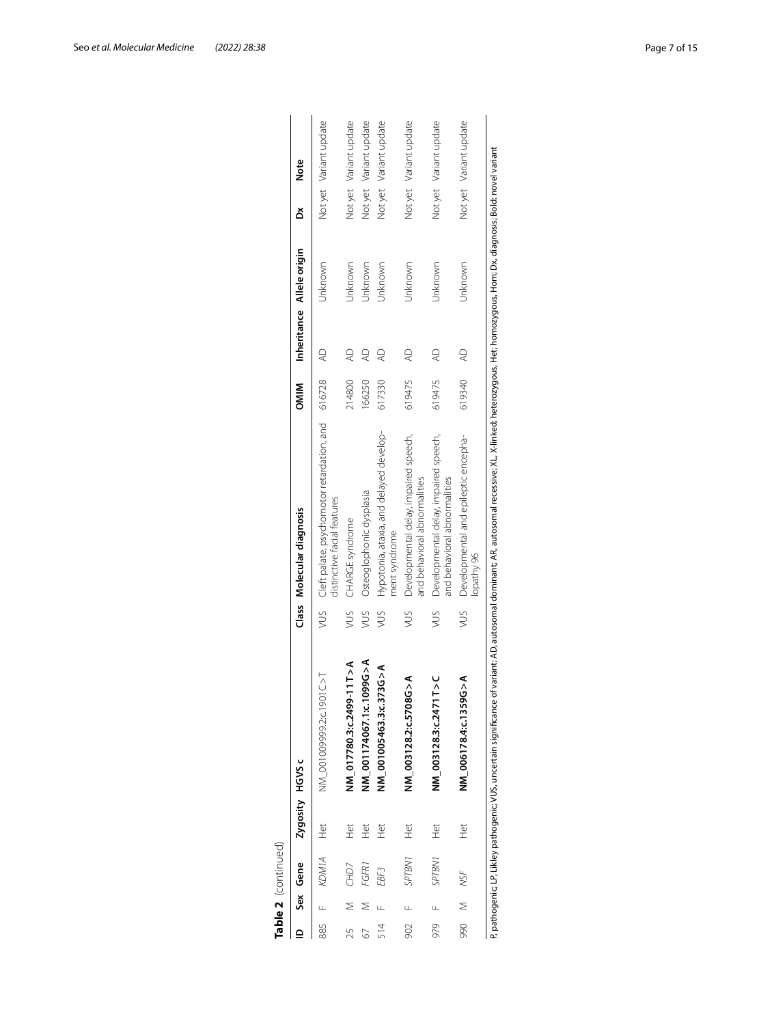|     |       | Table 2 (continued) |                 |                                                                   |     |                                                                                                                                                   |              |                |                           |   |                        |
|-----|-------|---------------------|-----------------|-------------------------------------------------------------------|-----|---------------------------------------------------------------------------------------------------------------------------------------------------|--------------|----------------|---------------------------|---|------------------------|
|     |       | Sex Gene            | Zygosity HGVS c |                                                                   |     | Class Molecular diagnosis                                                                                                                         | <b>NIIMO</b> |                | Inheritance Allele origin | ă | Note                   |
| 885 |       | KDM1A               | Het             | NM 00100993.c.1901C>T                                             | VUS | Cleft palate, psychomotor retardation, and<br>distinctive facial features                                                                         | 616728       | $\mathbb{R}$   | Unknown                   |   | Not yet Variant update |
| 25  |       | CHD7                | Het             | NM_017780.3:c.2499-11T>A                                          | SUN | CHARGE syndrome                                                                                                                                   | 214800       | $\overline{a}$ | Unknown                   |   | Not yet Variant update |
| 67  |       | FGFR1               | $\frac{t}{\pm}$ | NM_001174067.1:c.1099G>A                                          | SUN | Osteoglophonic dysplasia                                                                                                                          | 166250       | Q              | Unknown                   |   | Not yet Variant update |
| 514 |       | EBF3                | $\frac{t}{\pm}$ | NM 001005463.3:c.373G>A                                           | SM  | Hypotonia, ataxia, and delayed develop-<br>ment syndrome                                                                                          | 617330       | Q              | Unknown                   |   | Not yet Variant update |
| 902 |       | SPTBN1              | Het             | NM 003128.2:c.5708G > A                                           | SMA | Developmental delay, impaired speech,<br>and behavioral abnormalities                                                                             | 619475       | Q              | Unknown                   |   | Not yet Variant update |
| 979 |       | SPTBN1              | Ĕ               | NM_003128.3:c.2471T>C                                             | SMN | Developmental delay, impaired speech,<br>and behavioral abnormalities                                                                             | 619475       | $\overline{4}$ | Unknown                   |   | Not yet Variant update |
|     | M 066 | NSF                 | Het             | NM_006178.4:c.1359G>A                                             | SUM | Developmental and epileptic encepha-<br>lopathy 96                                                                                                | 619340       | Q              | Unknown                   |   | Not yet Variant update |
|     |       |                     |                 | P, pathogenic; LP, Likley pathogenic; VUS, uncertain significance |     | of variant: AD, autosomal dominant; AR, autosomal recessive; XL, X-linked; heterozygous, Het; homozygous, Hom; Dx, diagnosis; Bold: novel variant |              |                |                           |   |                        |

| ï |
|---|
|   |
|   |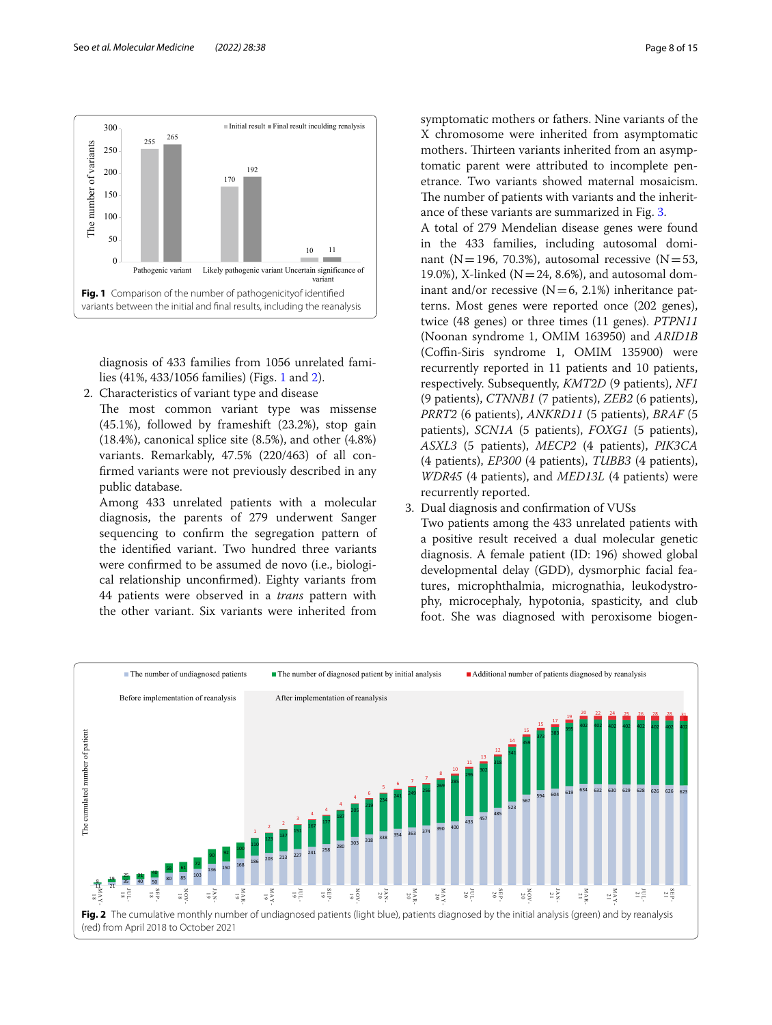

<span id="page-7-0"></span>diagnosis of 433 families from 1056 unrelated families (41%, 433/1056 families) (Figs. [1](#page-7-0) and [2](#page-7-1)).

- 2. Characteristics of variant type and disease
	- The most common variant type was missense (45.1%), followed by frameshift (23.2%), stop gain (18.4%), canonical splice site (8.5%), and other (4.8%) variants. Remarkably, 47.5% (220/463) of all confrmed variants were not previously described in any public database.

Among 433 unrelated patients with a molecular diagnosis, the parents of 279 underwent Sanger sequencing to confrm the segregation pattern of the identifed variant. Two hundred three variants were confrmed to be assumed de novo (i.e., biological relationship unconfrmed). Eighty variants from 44 patients were observed in a *trans* pattern with the other variant. Six variants were inherited from

symptomatic mothers or fathers. Nine variants of the X chromosome were inherited from asymptomatic mothers. Thirteen variants inherited from an asymptomatic parent were attributed to incomplete penetrance. Two variants showed maternal mosaicism. The number of patients with variants and the inheritance of these variants are summarized in Fig. [3](#page-8-0).

A total of 279 Mendelian disease genes were found in the 433 families, including autosomal dominant (N=196, 70.3%), autosomal recessive (N=53, 19.0%), X-linked ( $N=24$ , 8.6%), and autosomal dominant and/or recessive  $(N=6, 2.1%)$  inheritance patterns. Most genes were reported once (202 genes), twice (48 genes) or three times (11 genes). *PTPN11* (Noonan syndrome 1, OMIM 163950) and *ARID1B* (Coffin-Siris syndrome 1, OMIM 135900) were recurrently reported in 11 patients and 10 patients, respectively. Subsequently, *KMT2D* (9 patients), *NF1* (9 patients), *CTNNB1* (7 patients), *ZEB2* (6 patients), *PRRT2* (6 patients), *ANKRD11* (5 patients), *BRAF* (5 patients), *SCN1A* (5 patients), *FOXG1* (5 patients), *ASXL3* (5 patients), *MECP2* (4 patients), *PIK3CA* (4 patients), *EP300* (4 patients), *TUBB3* (4 patients), *WDR45* (4 patients), and *MED13L* (4 patients) were recurrently reported.

3. Dual diagnosis and confrmation of VUSs

Two patients among the 433 unrelated patients with a positive result received a dual molecular genetic diagnosis. A female patient (ID: 196) showed global developmental delay (GDD), dysmorphic facial features, microphthalmia, micrognathia, leukodystrophy, microcephaly, hypotonia, spasticity, and club foot. She was diagnosed with peroxisome biogen-

<span id="page-7-1"></span>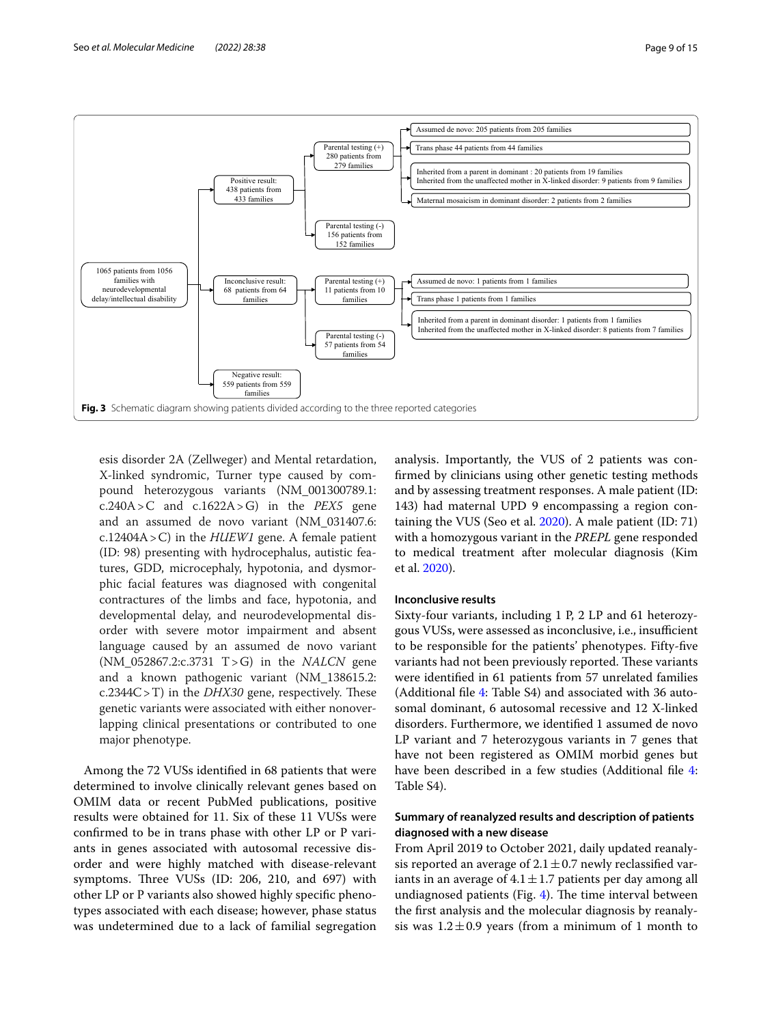



<span id="page-8-0"></span>esis disorder 2A (Zellweger) and Mental retardation, X-linked syndromic, Turner type caused by compound heterozygous variants (NM\_001300789.1: c.240A>C and c.1622A>G) in the *PEX5* gene and an assumed de novo variant (NM\_031407.6: c.12404A>C) in the *HUEW1* gene. A female patient (ID: 98) presenting with hydrocephalus, autistic features, GDD, microcephaly, hypotonia, and dysmorphic facial features was diagnosed with congenital contractures of the limbs and face, hypotonia, and developmental delay, and neurodevelopmental disorder with severe motor impairment and absent language caused by an assumed de novo variant (NM\_052867.2:c.3731 T>G) in the *NALCN* gene and a known pathogenic variant (NM\_138615.2:  $c.2344C > T$ ) in the *DHX30* gene, respectively. These genetic variants were associated with either nonoverlapping clinical presentations or contributed to one major phenotype.

Among the 72 VUSs identifed in 68 patients that were determined to involve clinically relevant genes based on OMIM data or recent PubMed publications, positive results were obtained for 11. Six of these 11 VUSs were confrmed to be in trans phase with other LP or P variants in genes associated with autosomal recessive disorder and were highly matched with disease-relevant symptoms. Three VUSs (ID: 206, 210, and 697) with other LP or P variants also showed highly specifc phenotypes associated with each disease; however, phase status was undetermined due to a lack of familial segregation

analysis. Importantly, the VUS of 2 patients was confrmed by clinicians using other genetic testing methods and by assessing treatment responses. A male patient (ID: 143) had maternal UPD 9 encompassing a region containing the VUS (Seo et al. [2020\)](#page-14-10). A male patient (ID: 71) with a homozygous variant in the *PREPL* gene responded to medical treatment after molecular diagnosis (Kim et al. [2020](#page-13-10)).

# **Inconclusive results**

Sixty-four variants, including 1 P, 2 LP and 61 heterozygous VUSs, were assessed as inconclusive, *i.e.*, insufficient to be responsible for the patients' phenotypes. Fifty-fve variants had not been previously reported. These variants were identifed in 61 patients from 57 unrelated families (Additional fle [4](#page-12-3): Table S4) and associated with 36 autosomal dominant, 6 autosomal recessive and 12 X-linked disorders. Furthermore, we identifed 1 assumed de novo LP variant and 7 heterozygous variants in 7 genes that have not been registered as OMIM morbid genes but have been described in a few studies (Additional file [4](#page-12-3): Table S4).

# **Summary of reanalyzed results and description of patients diagnosed with a new disease**

From April 2019 to October 2021, daily updated reanalysis reported an average of  $2.1 \pm 0.7$  newly reclassified variants in an average of  $4.1 \pm 1.7$  patients per day among all undiagnosed patients (Fig.  $4$ ). The time interval between the frst analysis and the molecular diagnosis by reanalysis was  $1.2 \pm 0.9$  years (from a minimum of 1 month to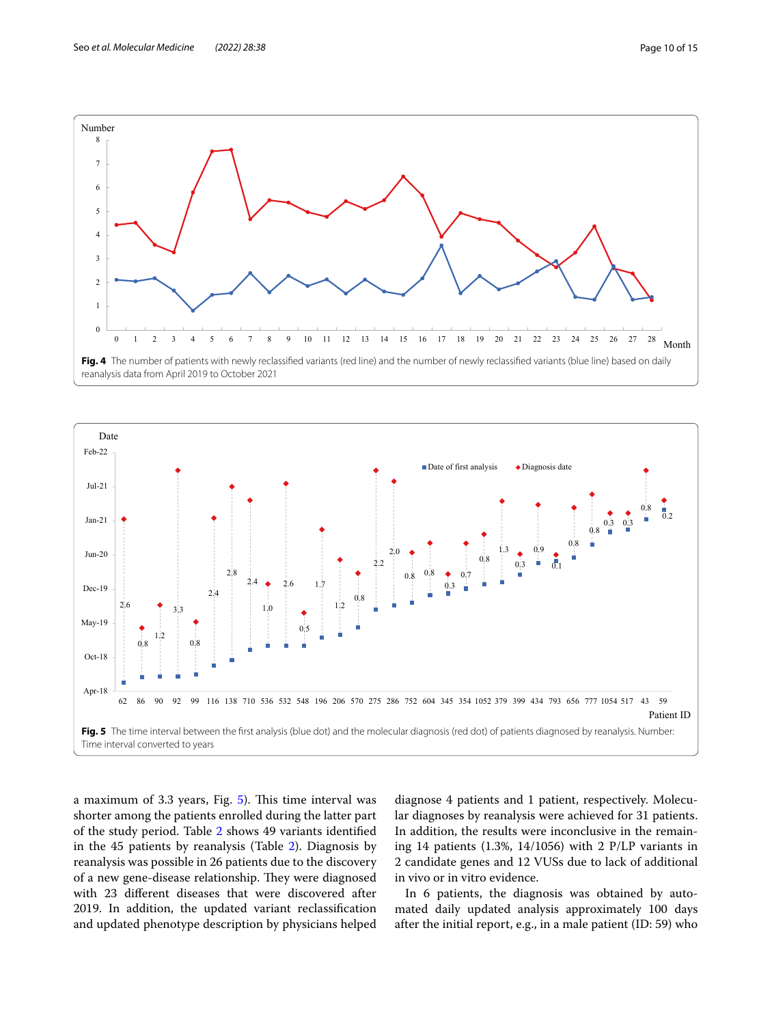

<span id="page-9-0"></span>

<span id="page-9-1"></span>a maximum of 3.3 years, Fig.  $5$ ). This time interval was shorter among the patients enrolled during the latter part of the study period. Table [2](#page-4-0) shows 49 variants identifed in the 45 patients by reanalysis (Table [2\)](#page-4-0). Diagnosis by reanalysis was possible in 26 patients due to the discovery of a new gene-disease relationship. They were diagnosed with 23 diferent diseases that were discovered after 2019. In addition, the updated variant reclassifcation and updated phenotype description by physicians helped diagnose 4 patients and 1 patient, respectively. Molecular diagnoses by reanalysis were achieved for 31 patients. In addition, the results were inconclusive in the remaining 14 patients (1.3%, 14/1056) with 2 P/LP variants in 2 candidate genes and 12 VUSs due to lack of additional in vivo or in vitro evidence.

In 6 patients, the diagnosis was obtained by automated daily updated analysis approximately 100 days after the initial report, e.g., in a male patient (ID: 59) who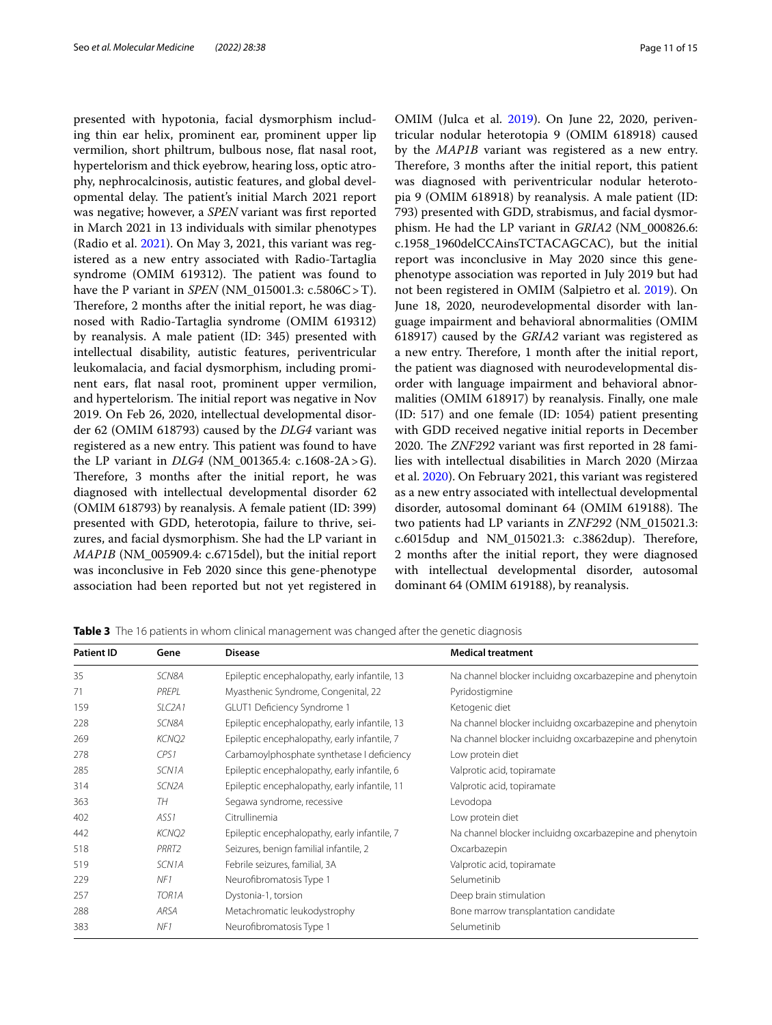presented with hypotonia, facial dysmorphism including thin ear helix, prominent ear, prominent upper lip vermilion, short philtrum, bulbous nose, fat nasal root, hypertelorism and thick eyebrow, hearing loss, optic atrophy, nephrocalcinosis, autistic features, and global developmental delay. The patient's initial March 2021 report was negative; however, a *SPEN* variant was frst reported in March 2021 in 13 individuals with similar phenotypes (Radio et al. [2021](#page-14-14)). On May 3, 2021, this variant was registered as a new entry associated with Radio-Tartaglia syndrome (OMIM 619312). The patient was found to have the P variant in *SPEN* (NM\_015001.3: c.5806C>T). Therefore, 2 months after the initial report, he was diagnosed with Radio-Tartaglia syndrome (OMIM 619312) by reanalysis. A male patient (ID: 345) presented with intellectual disability, autistic features, periventricular leukomalacia, and facial dysmorphism, including prominent ears, fat nasal root, prominent upper vermilion, and hypertelorism. The initial report was negative in Nov 2019. On Feb 26, 2020, intellectual developmental disorder 62 (OMIM 618793) caused by the *DLG4* variant was registered as a new entry. This patient was found to have the LP variant in *DLG4* (NM\_001365.4: c.1608-2A>G). Therefore, 3 months after the initial report, he was diagnosed with intellectual developmental disorder 62 (OMIM 618793) by reanalysis. A female patient (ID: 399) presented with GDD, heterotopia, failure to thrive, seizures, and facial dysmorphism. She had the LP variant in *MAP1B* (NM\_005909.4: c.6715del), but the initial report was inconclusive in Feb 2020 since this gene-phenotype association had been reported but not yet registered in

OMIM (Julca et al. [2019\)](#page-13-11). On June 22, 2020, periventricular nodular heterotopia 9 (OMIM 618918) caused by the *MAP1B* variant was registered as a new entry. Therefore, 3 months after the initial report, this patient was diagnosed with periventricular nodular heterotopia 9 (OMIM 618918) by reanalysis. A male patient (ID: 793) presented with GDD, strabismus, and facial dysmorphism. He had the LP variant in *GRIA2* (NM\_000826.6: c.1958\_1960delCCAinsTCTACAGCAC), but the initial report was inconclusive in May 2020 since this genephenotype association was reported in July 2019 but had not been registered in OMIM (Salpietro et al. [2019\)](#page-14-15). On June 18, 2020, neurodevelopmental disorder with language impairment and behavioral abnormalities (OMIM 618917) caused by the *GRIA2* variant was registered as a new entry. Therefore, 1 month after the initial report, the patient was diagnosed with neurodevelopmental disorder with language impairment and behavioral abnormalities (OMIM 618917) by reanalysis. Finally, one male (ID: 517) and one female (ID: 1054) patient presenting with GDD received negative initial reports in December 2020. The *ZNF292* variant was first reported in 28 families with intellectual disabilities in March 2020 (Mirzaa et al. [2020\)](#page-14-16). On February 2021, this variant was registered as a new entry associated with intellectual developmental disorder, autosomal dominant 64 (OMIM 619188). The two patients had LP variants in *ZNF292* (NM\_015021.3: c.6015dup and NM 015021.3:  $c.3862$ dup). Therefore, 2 months after the initial report, they were diagnosed with intellectual developmental disorder, autosomal dominant 64 (OMIM 619188), by reanalysis.

| <b>Patient ID</b> | Gene                | <b>Disease</b>                                | <b>Medical treatment</b>                                 |
|-------------------|---------------------|-----------------------------------------------|----------------------------------------------------------|
| 35                | SCN8A               | Epileptic encephalopathy, early infantile, 13 | Na channel blocker incluidng oxcarbazepine and phenytoin |
| 71                | PREPL               | Myasthenic Syndrome, Congenital, 22           | Pyridostigmine                                           |
| 159               | SLC <sub>2</sub> A1 | GLUT1 Deficiency Syndrome 1                   | Ketogenic diet                                           |
| 228               | SCN8A               | Epileptic encephalopathy, early infantile, 13 | Na channel blocker incluidng oxcarbazepine and phenytoin |
| 269               | KCNQ2               | Epileptic encephalopathy, early infantile, 7  | Na channel blocker incluidng oxcarbazepine and phenytoin |
| 278               | CPS1                | Carbamoylphosphate synthetase I deficiency    | Low protein diet                                         |
| 285               | SCN <sub>1</sub> A  | Epileptic encephalopathy, early infantile, 6  | Valprotic acid, topiramate                               |
| 314               | SCN <sub>2</sub> A  | Epileptic encephalopathy, early infantile, 11 | Valprotic acid, topiramate                               |
| 363               | TH                  | Segawa syndrome, recessive                    | Levodopa                                                 |
| 402               | ASS <sub>1</sub>    | Citrullinemia                                 | Low protein diet                                         |
| 442               | <b>KCNQ2</b>        | Epileptic encephalopathy, early infantile, 7  | Na channel blocker incluidng oxcarbazepine and phenytoin |
| 518               | PRRT2               | Seizures, benign familial infantile, 2        | Oxcarbazepin                                             |
| 519               | SCN <sub>1</sub> A  | Febrile seizures, familial, 3A                | Valprotic acid, topiramate                               |
| 229               | NF1                 | Neurofibromatosis Type 1                      | Selumetinib                                              |
| 257               | TOR <sub>1</sub> A  | Dystonia-1, torsion                           | Deep brain stimulation                                   |
| 288               | ARSA                | Metachromatic leukodystrophy                  | Bone marrow transplantation candidate                    |
| 383               | NF1                 | Neurofibromatosis Type 1                      | Selumetinib                                              |

<span id="page-10-0"></span>**Table 3** The 16 patients in whom clinical management was changed after the genetic diagnosis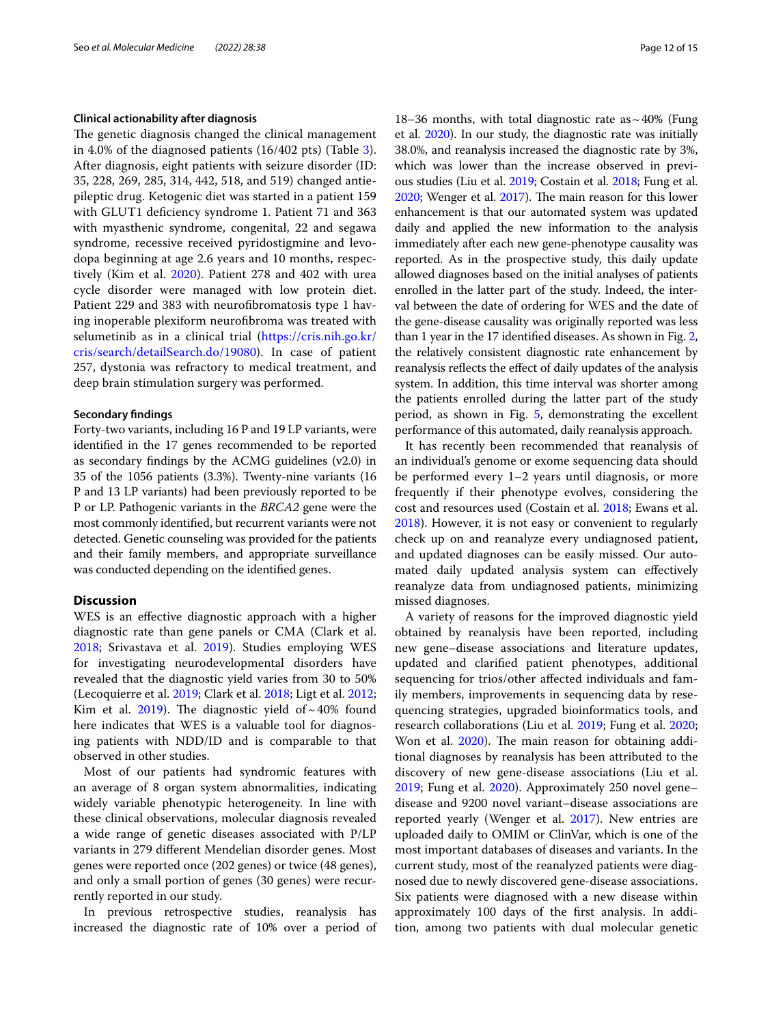# **Clinical actionability after diagnosis**

The genetic diagnosis changed the clinical management in 4.0% of the diagnosed patients (16/402 pts) (Table [3](#page-10-0)). After diagnosis, eight patients with seizure disorder (ID: 35, 228, 269, 285, 314, 442, 518, and 519) changed antiepileptic drug. Ketogenic diet was started in a patient 159 with GLUT1 defciency syndrome 1. Patient 71 and 363 with myasthenic syndrome, congenital, 22 and segawa syndrome, recessive received pyridostigmine and levodopa beginning at age 2.6 years and 10 months, respectively (Kim et al. [2020\)](#page-13-10). Patient 278 and 402 with urea cycle disorder were managed with low protein diet. Patient 229 and 383 with neurofbromatosis type 1 having inoperable plexiform neurofbroma was treated with selumetinib as in a clinical trial ([https://cris.nih.go.kr/](https://cris.nih.go.kr/cris/search/detailSearch.do/19080) [cris/search/detailSearch.do/19080\)](https://cris.nih.go.kr/cris/search/detailSearch.do/19080). In case of patient 257, dystonia was refractory to medical treatment, and deep brain stimulation surgery was performed.

# **Secondary fndings**

Forty-two variants, including 16 P and 19 LP variants, were identifed in the 17 genes recommended to be reported as secondary fndings by the ACMG guidelines (v2.0) in 35 of the 1056 patients (3.3%). Twenty-nine variants (16 P and 13 LP variants) had been previously reported to be P or LP. Pathogenic variants in the *BRCA2* gene were the most commonly identifed, but recurrent variants were not detected. Genetic counseling was provided for the patients and their family members, and appropriate surveillance was conducted depending on the identifed genes.

# **Discussion**

WES is an efective diagnostic approach with a higher diagnostic rate than gene panels or CMA (Clark et al. [2018](#page-13-2); Srivastava et al. [2019\)](#page-14-8). Studies employing WES for investigating neurodevelopmental disorders have revealed that the diagnostic yield varies from 30 to 50% (Lecoquierre et al. [2019;](#page-13-1) Clark et al. [2018;](#page-13-2) Ligt et al. [2012](#page-13-3); Kim et al. [2019\)](#page-13-12). The diagnostic yield of  $\sim$  40% found here indicates that WES is a valuable tool for diagnosing patients with NDD/ID and is comparable to that observed in other studies.

Most of our patients had syndromic features with an average of 8 organ system abnormalities, indicating widely variable phenotypic heterogeneity. In line with these clinical observations, molecular diagnosis revealed a wide range of genetic diseases associated with P/LP variants in 279 diferent Mendelian disorder genes. Most genes were reported once (202 genes) or twice (48 genes), and only a small portion of genes (30 genes) were recurrently reported in our study.

In previous retrospective studies, reanalysis has increased the diagnostic rate of 10% over a period of

18–36 months, with total diagnostic rate as  $\sim$  40% (Fung et al. [2020](#page-13-5)). In our study, the diagnostic rate was initially 38.0%, and reanalysis increased the diagnostic rate by 3%, which was lower than the increase observed in previous studies (Liu et al. [2019](#page-14-9); Costain et al. [2018;](#page-13-4) Fung et al. [2020](#page-13-5); Wenger et al. [2017](#page-14-17)). The main reason for this lower enhancement is that our automated system was updated daily and applied the new information to the analysis immediately after each new gene-phenotype causality was reported. As in the prospective study, this daily update allowed diagnoses based on the initial analyses of patients enrolled in the latter part of the study. Indeed, the interval between the date of ordering for WES and the date of the gene-disease causality was originally reported was less than 1 year in the 17 identifed diseases. As shown in Fig. [2](#page-7-1), the relatively consistent diagnostic rate enhancement by reanalysis reflects the effect of daily updates of the analysis system. In addition, this time interval was shorter among the patients enrolled during the latter part of the study period, as shown in Fig. [5,](#page-9-1) demonstrating the excellent performance of this automated, daily reanalysis approach.

It has recently been recommended that reanalysis of an individual's genome or exome sequencing data should be performed every 1–2 years until diagnosis, or more frequently if their phenotype evolves, considering the cost and resources used (Costain et al. [2018](#page-13-4); Ewans et al. [2018](#page-13-13)). However, it is not easy or convenient to regularly check up on and reanalyze every undiagnosed patient, and updated diagnoses can be easily missed. Our automated daily updated analysis system can efectively reanalyze data from undiagnosed patients, minimizing missed diagnoses.

A variety of reasons for the improved diagnostic yield obtained by reanalysis have been reported, including new gene–disease associations and literature updates, updated and clarifed patient phenotypes, additional sequencing for trios/other afected individuals and family members, improvements in sequencing data by resequencing strategies, upgraded bioinformatics tools, and research collaborations (Liu et al. [2019](#page-14-9); Fung et al. [2020](#page-13-5); Won et al. [2020](#page-14-18)). The main reason for obtaining additional diagnoses by reanalysis has been attributed to the discovery of new gene-disease associations (Liu et al. [2019](#page-14-9); Fung et al. [2020](#page-13-5)). Approximately 250 novel gene– disease and 9200 novel variant–disease associations are reported yearly (Wenger et al. [2017\)](#page-14-17). New entries are uploaded daily to OMIM or ClinVar, which is one of the most important databases of diseases and variants. In the current study, most of the reanalyzed patients were diagnosed due to newly discovered gene-disease associations. Six patients were diagnosed with a new disease within approximately 100 days of the frst analysis. In addition, among two patients with dual molecular genetic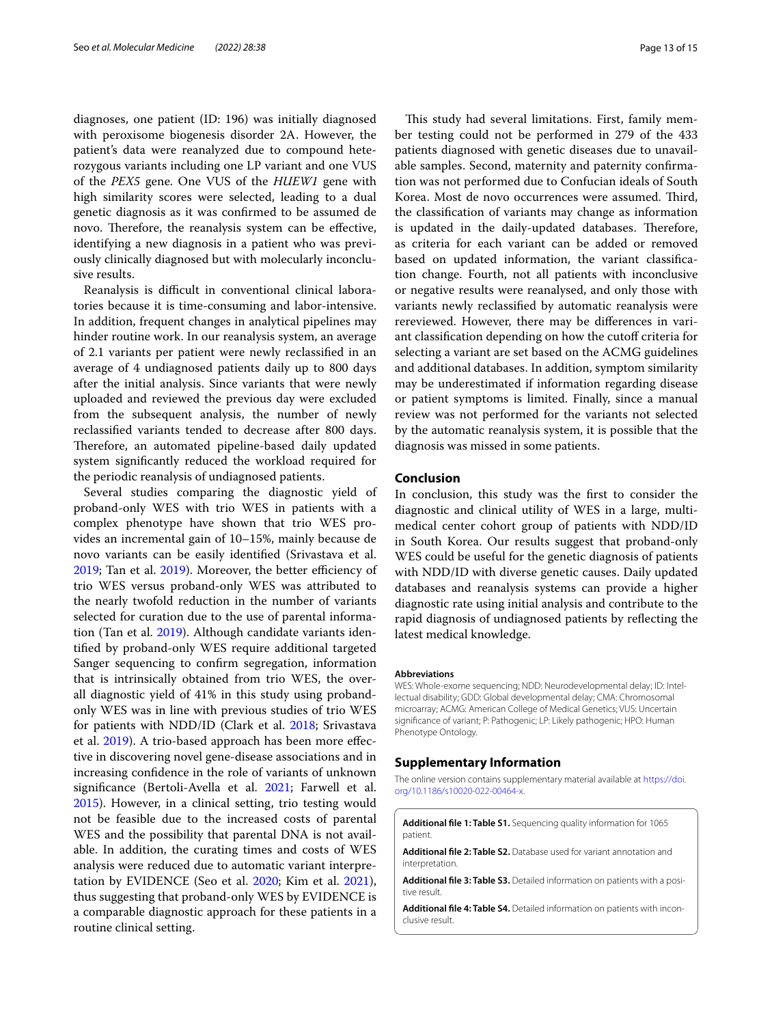diagnoses, one patient (ID: 196) was initially diagnosed with peroxisome biogenesis disorder 2A. However, the patient's data were reanalyzed due to compound heterozygous variants including one LP variant and one VUS of the *PEX5* gene. One VUS of the *HUEW1* gene with high similarity scores were selected, leading to a dual genetic diagnosis as it was confrmed to be assumed de novo. Therefore, the reanalysis system can be effective, identifying a new diagnosis in a patient who was previously clinically diagnosed but with molecularly inconclusive results.

Reanalysis is difficult in conventional clinical laboratories because it is time-consuming and labor-intensive. In addition, frequent changes in analytical pipelines may hinder routine work. In our reanalysis system, an average of 2.1 variants per patient were newly reclassifed in an average of 4 undiagnosed patients daily up to 800 days after the initial analysis. Since variants that were newly uploaded and reviewed the previous day were excluded from the subsequent analysis, the number of newly reclassifed variants tended to decrease after 800 days. Therefore, an automated pipeline-based daily updated system signifcantly reduced the workload required for the periodic reanalysis of undiagnosed patients.

Several studies comparing the diagnostic yield of proband-only WES with trio WES in patients with a complex phenotype have shown that trio WES provides an incremental gain of 10–15%, mainly because de novo variants can be easily identifed (Srivastava et al.  $2019$ ; Tan et al.  $2019$ ). Moreover, the better efficiency of trio WES versus proband-only WES was attributed to the nearly twofold reduction in the number of variants selected for curation due to the use of parental information (Tan et al. [2019\)](#page-14-19). Although candidate variants identifed by proband-only WES require additional targeted Sanger sequencing to confrm segregation, information that is intrinsically obtained from trio WES, the overall diagnostic yield of 41% in this study using probandonly WES was in line with previous studies of trio WES for patients with NDD/ID (Clark et al. [2018](#page-13-2); Srivastava et al. [2019](#page-14-8)). A trio-based approach has been more efective in discovering novel gene-disease associations and in increasing confdence in the role of variants of unknown signifcance (Bertoli-Avella et al. [2021](#page-13-14); Farwell et al. [2015](#page-13-15)). However, in a clinical setting, trio testing would not be feasible due to the increased costs of parental WES and the possibility that parental DNA is not available. In addition, the curating times and costs of WES analysis were reduced due to automatic variant interpretation by EVIDENCE (Seo et al. [2020;](#page-14-10) Kim et al. [2021](#page-13-16)), thus suggesting that proband-only WES by EVIDENCE is a comparable diagnostic approach for these patients in a routine clinical setting.

This study had several limitations. First, family member testing could not be performed in 279 of the 433 patients diagnosed with genetic diseases due to unavailable samples. Second, maternity and paternity confrmation was not performed due to Confucian ideals of South Korea. Most de novo occurrences were assumed. Third, the classifcation of variants may change as information is updated in the daily-updated databases. Therefore, as criteria for each variant can be added or removed based on updated information, the variant classifcation change. Fourth, not all patients with inconclusive or negative results were reanalysed, and only those with variants newly reclassifed by automatic reanalysis were rereviewed. However, there may be diferences in variant classification depending on how the cutoff criteria for selecting a variant are set based on the ACMG guidelines and additional databases. In addition, symptom similarity may be underestimated if information regarding disease or patient symptoms is limited. Finally, since a manual review was not performed for the variants not selected by the automatic reanalysis system, it is possible that the diagnosis was missed in some patients.

# **Conclusion**

In conclusion, this study was the frst to consider the diagnostic and clinical utility of WES in a large, multimedical center cohort group of patients with NDD/ID in South Korea. Our results suggest that proband-only WES could be useful for the genetic diagnosis of patients with NDD/ID with diverse genetic causes. Daily updated databases and reanalysis systems can provide a higher diagnostic rate using initial analysis and contribute to the rapid diagnosis of undiagnosed patients by refecting the latest medical knowledge.

#### **Abbreviations**

WES: Whole-exome sequencing; NDD: Neurodevelopmental delay; ID: Intellectual disability; GDD: Global developmental delay; CMA: Chromosomal microarray; ACMG: American College of Medical Genetics; VUS: Uncertain signifcance of variant; P: Pathogenic; LP: Likely pathogenic; HPO: Human Phenotype Ontology.

# **Supplementary Information**

The online version contains supplementary material available at [https://doi.](https://doi.org/10.1186/s10020-022-00464-x) [org/10.1186/s10020-022-00464-x.](https://doi.org/10.1186/s10020-022-00464-x)

<span id="page-12-1"></span><span id="page-12-0"></span>**Additional fle 1: Table S1.** Sequencing quality information for 1065 patient.

<span id="page-12-2"></span>**Additional fle 2: Table S2.** Database used for variant annotation and interpretation.

<span id="page-12-3"></span>Additional file 3: Table S3. Detailed information on patients with a positive result.

Additional file 4: Table S4. Detailed information on patients with inconclusive result.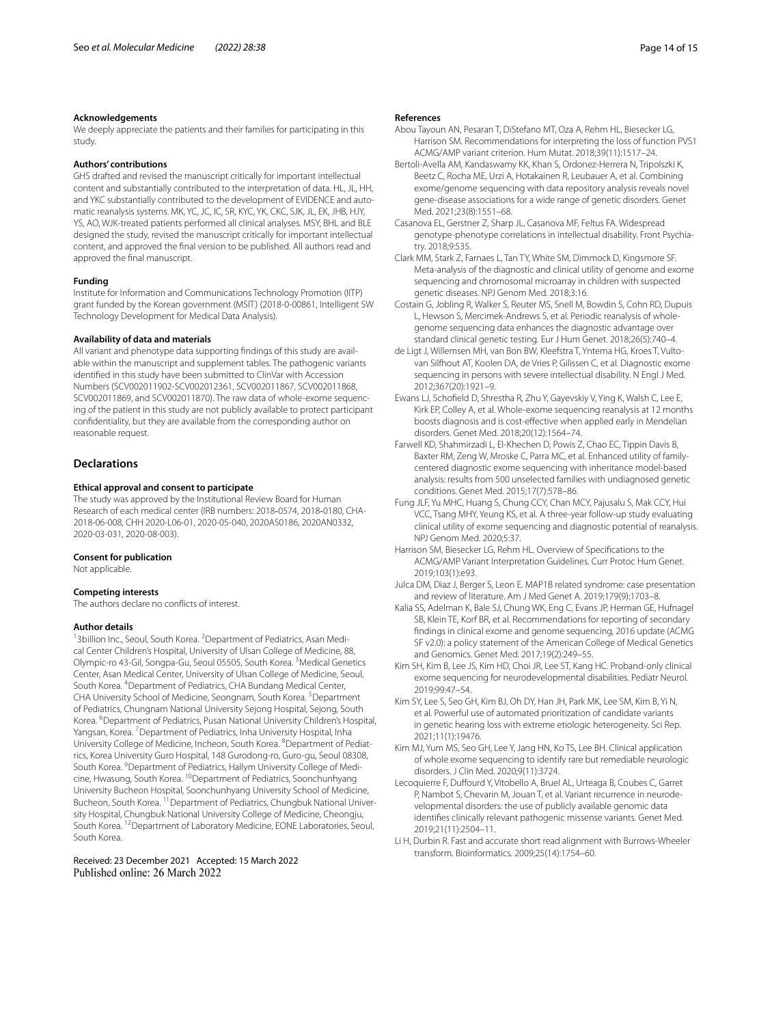#### **Acknowledgements**

We deeply appreciate the patients and their families for participating in this study.

# **Authors' contributions**

GHS drafted and revised the manuscript critically for important intellectual content and substantially contributed to the interpretation of data. HL, JL, HH, and YKC substantially contributed to the development of EVIDENCE and automatic reanalysis systems. MK, YC, JC, IC, SR, KYC, YK, CKC, SJK, JL, EK, JHB, HJY, YS, AO, WJK-treated patients performed all clinical analyses. MSY, BHL and BLE designed the study, revised the manuscript critically for important intellectual content, and approved the fnal version to be published. All authors read and approved the fnal manuscript.

# **Funding**

Institute for Information and Communications Technology Promotion (IITP) grant funded by the Korean government (MSIT) (2018-0-00861, Intelligent SW Technology Development for Medical Data Analysis).

# **Availability of data and materials**

All variant and phenotype data supporting findings of this study are available within the manuscript and supplement tables. The pathogenic variants identifed in this study have been submitted to ClinVar with Accession Numbers (SCV002011902-SCV002012361, SCV002011867, SCV002011868, SCV002011869, and SCV002011870). The raw data of whole-exome sequencing of the patient in this study are not publicly available to protect participant confdentiality, but they are available from the corresponding author on reasonable request.

# **Declarations**

### **Ethical approval and consent to participate**

The study was approved by the Institutional Review Board for Human Research of each medical center (IRB numbers: 2018‐0574, 2018‐0180, CHA-2018-06-008, CHH 2020-L06-01, 2020-05-040, 2020AS0186, 2020AN0332, 2020-03-031, 2020-08-003).

#### **Consent for publication**

Not applicable.

#### **Competing interests**

The authors declare no conficts of interest.

#### **Author details**

<sup>1</sup> 3 billion Inc., Seoul, South Korea. <sup>2</sup> Department of Pediatrics, Asan Medical Center Children's Hospital, University of Ulsan College of Medicine, 88, Olympic-ro 43-Gil, Songpa-Gu, Seoul 05505, South Korea. <sup>3</sup> Medical Genetics Center, Asan Medical Center, University of Ulsan College of Medicine, Seoul, South Korea. <sup>4</sup> Department of Pediatrics, CHA Bundang Medical Center, CHA University School of Medicine, Seongnam, South Korea. <sup>5</sup>Department of Pediatrics, Chungnam National University Sejong Hospital, Sejong, South Korea. <sup>6</sup>Department of Pediatrics, Pusan National University Children's Hospital, Yangsan, Korea. <sup>7</sup> Department of Pediatrics, Inha University Hospital, Inha University College of Medicine, Incheon, South Korea. <sup>8</sup> Department of Pediatrics, Korea University Guro Hospital, 148 Gurodong‑ro, Guro‑gu, Seoul 08308, South Korea. <sup>9</sup> Department of Pediatrics, Hallym University College of Medicine, Hwasung, South Korea. 10Department of Pediatrics, Soonchunhyang University Bucheon Hospital, Soonchunhyang University School of Medicine, Bucheon, South Korea. <sup>11</sup> Department of Pediatrics, Chungbuk National University Hospital, Chungbuk National University College of Medicine, Cheongju, South Korea. 12Department of Laboratory Medicine, EONE Laboratories, Seoul, South Korea.

Received: 23 December 2021 Accepted: 15 March 2022

#### **References**

- <span id="page-13-8"></span>Abou Tayoun AN, Pesaran T, DiStefano MT, Oza A, Rehm HL, Biesecker LG, Harrison SM. Recommendations for interpreting the loss of function PVS1 ACMG/AMP variant criterion. Hum Mutat. 2018;39(11):1517–24.
- <span id="page-13-14"></span>Bertoli-Avella AM, Kandaswamy KK, Khan S, Ordonez-Herrera N, Tripolszki K, Beetz C, Rocha ME, Urzi A, Hotakainen R, Leubauer A, et al. Combining exome/genome sequencing with data repository analysis reveals novel gene-disease associations for a wide range of genetic disorders. Genet Med. 2021;23(8):1551–68.
- <span id="page-13-0"></span>Casanova EL, Gerstner Z, Sharp JL, Casanova MF, Feltus FA. Widespread genotype-phenotype correlations in intellectual disability. Front Psychiatry. 2018;9:535.
- <span id="page-13-2"></span>Clark MM, Stark Z, Farnaes L, Tan TY, White SM, Dimmock D, Kingsmore SF. Meta-analysis of the diagnostic and clinical utility of genome and exome sequencing and chromosomal microarray in children with suspected genetic diseases. NPJ Genom Med. 2018;3:16.
- <span id="page-13-4"></span>Costain G, Jobling R, Walker S, Reuter MS, Snell M, Bowdin S, Cohn RD, Dupuis L, Hewson S, Mercimek-Andrews S, et al. Periodic reanalysis of wholegenome sequencing data enhances the diagnostic advantage over standard clinical genetic testing. Eur J Hum Genet. 2018;26(5):740–4.
- <span id="page-13-3"></span>de Ligt J, Willemsen MH, van Bon BW, Kleefstra T, Yntema HG, Kroes T, Vultovan Silfhout AT, Koolen DA, de Vries P, Gilissen C, et al. Diagnostic exome sequencing in persons with severe intellectual disability. N Engl J Med. 2012;367(20):1921–9.
- <span id="page-13-13"></span>Ewans LJ, Schofeld D, Shrestha R, Zhu Y, Gayevskiy V, Ying K, Walsh C, Lee E, Kirk EP, Colley A, et al. Whole-exome sequencing reanalysis at 12 months boosts diagnosis and is cost-efective when applied early in Mendelian disorders. Genet Med. 2018;20(12):1564–74.
- <span id="page-13-15"></span>Farwell KD, Shahmirzadi L, El-Khechen D, Powis Z, Chao EC, Tippin Davis B, Baxter RM, Zeng W, Mroske C, Parra MC, et al. Enhanced utility of familycentered diagnostic exome sequencing with inheritance model-based analysis: results from 500 unselected families with undiagnosed genetic conditions. Genet Med. 2015;17(7):578–86.
- <span id="page-13-5"></span>Fung JLF, Yu MHC, Huang S, Chung CCY, Chan MCY, Pajusalu S, Mak CCY, Hui VCC, Tsang MHY, Yeung KS, et al. A three-year follow-up study evaluating clinical utility of exome sequencing and diagnostic potential of reanalysis. NPJ Genom Med. 2020;5:37.
- <span id="page-13-9"></span>Harrison SM, Biesecker LG, Rehm HL. Overview of Specifcations to the ACMG/AMP Variant Interpretation Guidelines. Curr Protoc Hum Genet. 2019;103(1):e93.
- <span id="page-13-11"></span>Julca DM, Diaz J, Berger S, Leon E. MAP1B related syndrome: case presentation and review of literature. Am J Med Genet A. 2019;179(9):1703–8.
- <span id="page-13-6"></span>Kalia SS, Adelman K, Bale SJ, Chung WK, Eng C, Evans JP, Herman GE, Hufnagel SB, Klein TE, Korf BR, et al. Recommendations for reporting of secondary fndings in clinical exome and genome sequencing, 2016 update (ACMG SF v2.0): a policy statement of the American College of Medical Genetics and Genomics. Genet Med. 2017;19(2):249–55.
- <span id="page-13-12"></span>Kim SH, Kim B, Lee JS, Kim HD, Choi JR, Lee ST, Kang HC. Proband-only clinical exome sequencing for neurodevelopmental disabilities. Pediatr Neurol. 2019;99:47–54.
- <span id="page-13-16"></span>Kim SY, Lee S, Seo GH, Kim BJ, Oh DY, Han JH, Park MK, Lee SM, Kim B, Yi N, et al. Powerful use of automated prioritization of candidate variants in genetic hearing loss with extreme etiologic heterogeneity. Sci Rep. 2021;11(1):19476.
- <span id="page-13-10"></span>Kim MJ, Yum MS, Seo GH, Lee Y, Jang HN, Ko TS, Lee BH. Clinical application of whole exome sequencing to identify rare but remediable neurologic disorders. J Clin Med. 2020;9(11):3724.
- <span id="page-13-1"></span>Lecoquierre F, Duffourd Y, Vitobello A, Bruel AL, Urteaga B, Coubes C, Garret P, Nambot S, Chevarin M, Jouan T, et al. Variant recurrence in neurodevelopmental disorders: the use of publicly available genomic data identifes clinically relevant pathogenic missense variants. Genet Med. 2019;21(11):2504–11.
- <span id="page-13-7"></span>Li H, Durbin R. Fast and accurate short read alignment with Burrows-Wheeler transform. Bioinformatics. 2009;25(14):1754–60.